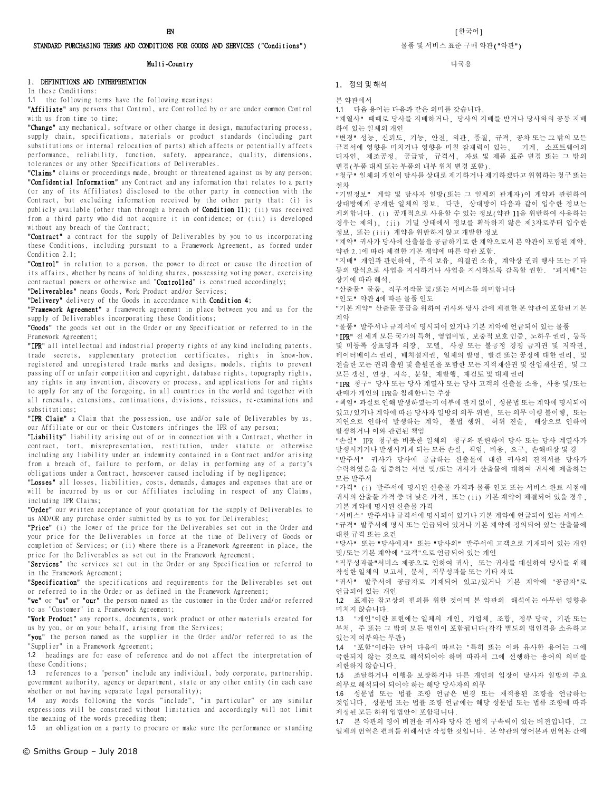## STANDARD PURCHASING TERMS AND CONDITIONS FOR GOODS AND SERVICES ("Conditions")

#### Multi-Country

## 1. DEFINITIONS AND INTERPRETATION

In these Conditions:

1.1 the following terms have the following meanings:

"Affiliate" any persons that Control, are Controlled by or are under common Control with us from time to time;

"Change" any mechanical, software or other change in design, manufacturing process, supply chain, specifications, materials or product standards (including part substitutions or internal relocation of parts) which affects or potentially affects performance, reliability, function, safety, appearance, quality, dimensions, tolerances or any other Specifications of Deliverables.

"Claims" claims or proceedings made, brought or threatened against us by any person; "Confidential Information" any Contract and any information that relates to a party (or any of its Affiliates) disclosed to the other party in connection with the Contract, but excluding information received by the other party that: (i) is publicly available (other than through a breach of Condition 11); (ii) was received from a third party who did not acquire it in confidence; or (iii) is developed without any breach of the Contract;

"Contract" a contract for the supply of Deliverables by you to us incorporating these Conditions, including pursuant to a Framework Agreement, as formed under Condition 2.1;

"Control" in relation to a person, the power to direct or cause the direction of its affairs, whether by means of holding shares, possessing voting power, exercising contractual powers or otherwise and "Controlled" is construed accordingly;

"Deliverables" means Goods, Work Product and/or Services;

"Delivery" delivery of the Goods in accordance with Condition 4;

"Framework Agreement" a framework agreement in place between you and us for the supply of Deliverables incorporating these Conditions;

"Goods" the goods set out in the Order or any Specification or referred to in the Framework Agreement;

"IPR" all intellectual and industrial property rights of any kind including patents, trade secrets, supplementary protection certificates, rights in know-how, registered and unregistered trade marks and designs, models, rights to prevent passing off or unfair competition and copyright, database rights, topography rights, any rights in any invention, discovery or process, and applications for and rights to apply for any of the foregoing, in all countries in the world and together with all renewals, extensions, continuations, divisions, reissues, re-examinations and substitutions;

"IPR Claim" a Claim that the possession, use and/or sale of Deliverables by us, our Affiliate or our or their Customers infringes the IPR of any person;

"Liability" liability arising out of or in connection with a Contract, whether in contract, tort, misrepresentation, restitution, under statute or otherwise including any liability under an indemnity contained in a Contract and/or arising from a breach of, failure to perform, or delay in performing any of a party's obligations under a Contract, howsoever caused including if by negligence;

"Losses" all losses, liabilities, costs, demands, damages and expenses that are or will be incurred by us or our Affiliates including in respect of any Claims, including IPR Claims;

"Order" our written acceptance of your quotation for the supply of Deliverables to us AND/OR any purchase order submitted by us to you for Deliverables;

"Price" (i) the lower of the price for the Deliverables set out in the Order and your price for the Deliverables in force at the time of Delivery of Goods or completion of Services; or (ii) where there is a Framework Agreement in place, the price for the Deliverables as set out in the Framework Agreement;

"Services" the services set out in the Order or any Specification or referred to in the Framework Agreement;

"Specification" the specifications and requirements for the Deliverables set out or referred to in the Order or as defined in the Framework Agreement;

"we" or "us" or "our" the person named as the customer in the Order and/or referred to as "Customer" in a Framework Agreement;

"Work Product" any reports, documents, work product or other materials created for us by you, or on your behalf, arising from the Services;

"you" the person named as the supplier in the Order and/or referred to as the "Supplier" in a Framework Agreement;

1.2 headings are for ease of reference and do not affect the interpretation of these Conditions;

1.3 references to a "person" include any individual, body corporate, partnership, government authority, agency or department, state or any other entity (in each case whether or not having separate legal personality);

1.4 any words following the words "include", "in particular" or any similar expressions will be construed without limitation and accordingly will not limit the meaning of the words preceding them;

1.5 an obligation on a party to procure or make sure the performance or standing

#### 물품 및 서비스 표준 구매 약관("약관")

# 다국용

#### 1. 정의 및 해석

본 약관에서

1.1 다음 용어는 다음과 같은 의미를 갖습니다.

"계열사" 때때로 당사를 지배하거나, 당사의 지배를 받거나 당사와의 공동 지배 하에 있는 일체의 개인

"변경" 성능, 신뢰도, 기능, 안전, 외관, 품질, 규격, 공차 또는 그 밖의 모든 규격서에 영향을 미치거나 영향을 미칠 잠재력이 있는, 기계, 소프트웨어의 디자인, 제조공정, 공급망, 규격서, 자료 및 제품 표준 변경 또는 그 밖의 변경(부품 대체 또는 부품의 내부 위치 변경 포함).

"청구" 일체의 개인이 당사를 상대로 제기하거나 제기하겠다고 위협하는 청구 또는 절차

"기밀정보" 계약 및 당사자 일방(또는 그 일체의 관계자)이 계약과 관련하여 상대방에게 공개한 일체의 정보. 다만, 상대방이 다음과 같이 입수한 정보는 제외합니다. (i) 공개적으로 사용할 수 있는 정보(약관 11을 위반하여 사용하는 경우는 제외), (ii) 기밀 상태에서 정보를 획득하지 않은 제3자로부터 입수한 정보, 또는 (iii) 계약을 위반하지 않고 개발한 정보

"계약" 귀사가 당사에 산출물을 공급하기로 한 계약으로서 본 약관이 포함된 계약. 약관 2.1에 따라 체결한 기본 계약에 따른 약관 포함.

"지배" 개인과 관련하여, 주식 보유, 의결권 소유, 계약상 권리 행사 또는 기타 등의 방식으로 사업을 지시하거나 사업을 지시하도록 감독할 권한. "피지배"는 상기에 따라 해석.

"산출물" 물품, 직무저작물 및/또는 서비스를 의미합니다

"인도" 약관 4에 따른 물품 인도

"기본 계약" 산출물 공급을 위하여 귀사와 당사 간에 체결한 본 약관이 포함된 기본 계약

"물품" 발주서나 규격서에 명시되어 있거나 기본 계약에 언급되어 있는 물품

"IPR" 전 세계 모든 국가의 특허, 영업비밀, 보충적 보호 인증, 노하우 권리, 등록 및 미등록 상표명과 의장, 모델, 사칭 또는 불공정 경쟁 금지권 및 저작권, 데이터베이스 권리, 배치설계권, 일체의 발명, 발견 또는 공정에 대한 권리, 및 전술한 모든 권리 출원 및 출원권을 포함한 모든 지적재산권 및 산업재산권, 및 그 모든 갱신, 연장, 지속, 분할, 재발행, 재검토 및 대체 권리

"IPR 청구" 당사 또는 당사 계열사 또는 당사 고객의 산출물 소유, 사용 및/또는 판매가 개인의 IPR을 침해한다는 주장

"책임" 과실로 인해 발생하였는지 여부에 관계 없이, 성문법 또는 계약에 명시되어 있고/있거나 계약에 따른 당사자 일방의 의무 위반, 또는 의무 이행 불이행, 또는 지연으로 인하여 발생하는 계약, 불법 행위, 허위 진술, 배상으로 인하여 발생하거나 이와 관련된 책임

"손실" IPR 청구를 비롯한 일체의 청구와 관련하여 당사 또는 당사 계열사가 발생시키거나 발생시키게 되는 모든 손실, 책임, 비용, 요구, 손해배상 및 경

"발주서" 귀사가 당사에 공급하는 산출물에 대한 귀사의 견적서를 당사가 수락하였음을 입증하는 서면 및/또는 귀사가 산출물에 대하여 귀사에 제출하는 모든 발주서

"가격" (i) 발주서에 명시된 산출물 가격과 물품 인도 또는 서비스 완료 시점에 귀사의 산출물 가격 중 더 낮은 가격, 또는 (ii) 기본 계약이 체결되어 있을 경우, 기본 계약에 명시된 산출물 가격

"서비스" 발주서나 규격서에 명시되어 있거나 기본 계약에 언급되어 있는 서비스 "규격" 발주서에 명시 또는 언급되어 있거나 기본 계약에 정의되어 있는 산출물에 대한 규격 또는 요건

"당사" 또는 "당사에게" 또는 "당사의" 발주서에 고객으로 기재되어 있는 개인 및/또는 기본 계약에 "고객"으로 언급되어 있는 개인

"직무성과물"서비스 제공으로 인하여 귀사, 또는 귀사를 대신하여 당사를 위해 작성한 일체의 보고서, 문서, 직무성과물 또는 기타 자료

"귀사" 발주서에 공급자로 기재되어 있고/있거나 기본 계약에 "공급자"로 언급되어 있는 개인

1.2 표제는 참고상의 편의를 위한 것이며 본 약관의 해석에는 아무런 영향을 미치지 않습니다.

1.3 "개인"이란 표현에는 일체의 개인, 기업체, 조합, 정부 당국, 기관 또는 부처, 주 또는 그 밖의 모든 법인이 포함됩니다(각각 별도의 법인격을 소유하고 있는지 여부와는 무관)

1.4 "포함"이라는 단어 다음에 따르는 "특히 또는 이와 유사한 용어는 그에 국한되지 않는 것으로 해석되어야 하며 따라서 그에 선행하는 용어의 의미를 제한하지 않습니다.

1.5 조달하거나 이행을 보장하거나 다른 개인의 입장이 당사자 일방의 주요 의무로 해석되어 되어야 하는 해당 당사자의 의무

1.6 성문법 또는 법률 조항 언급은 변경 또는 재적용된 조항을 언급하는 것입니다. 성문법 또는 법률 조항 언급에는 해당 성문법 또는 법류 조항에 따라 제정된 모든 하위 입법안이 포함됩니다.

1.7 본 약관의 영어 버전을 귀사와 당사 간 법적 구속력이 있는 버전입니다. 그 일체의 번역은 편의를 위해서만 작성한 것입니다. 본 약관의 영어본과 번역본 간에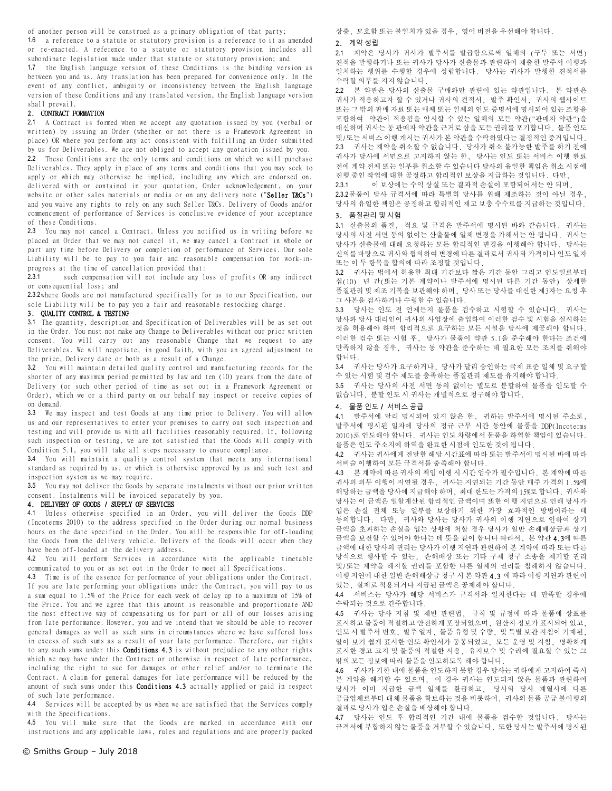of another person will be construed as a primary obligation of that party;

1.6 a reference to a statute or statutory provision is a reference to it as amended or re-enacted. A reference to a statute or statutory provision includes all subordinate legislation made under that statute or statutory provision; and

1.7 the English language version of these Conditions is the binding version as between you and us. Any translation has been prepared for convenience only. In the event of any conflict, ambiguity or inconsistency between the English language version of these Conditions and any translated version, the English language version shall prevail.

## 2. CONTRACT FORMATION

2.1 A Contract is formed when we accept any quotation issued by you (verbal or written) by issuing an Order (whether or not there is a Framework Agreement in place) OR where you perform any act consistent with fulfilling an Order submitted by us for Deliverables. We are not obliged to accept any quotation issued by you. 2.2 These Conditions are the only terms and conditions on which we will purchase Deliverables. They apply in place of any terms and conditions that you may seek to apply or which may otherwise be implied, including any which are endorsed on, delivered with or contained in your quotation, Order acknowledgement, on your website or other sales materials or media or on any delivery note ("Seller T&Cs") and you waive any rights to rely on any such Seller T&Cs. Delivery of Goods and/or commencement of performance of Services is conclusive evidence of your acceptance of these Conditions.

2.3 You may not cancel a Contract. Unless you notified us in writing before we placed an Order that we may not cancel it, we may cancel a Contract in whole or part any time before Delivery or completion of performance of Services. Our sole Liability will be to pay to you fair and reasonable compensation for work-inprogress at the time of cancellation provided that:

2.3.1 such compensation will not include any loss of profits OR any indirect or consequential loss; and

2.3.2where Goods are not manufactured specifically for us to our Specification, our sole Liability will be to pay you a fair and reasonable restocking charge.

# 3. QUALITY CONTROL & TESTING

3.1 The quantity, description and Specification of Deliverables will be as set out in the Order. You must not make any Change to Deliverables without our prior written consent. You will carry out any reasonable Change that we request to any Deliverables. We will negotiate, in good faith, with you an agreed adjustment to the price, Delivery date or both as a result of a Change.

3.2 You will maintain detailed quality control and manufacturing records for the shorter of any maximum period permitted by law and ten (10) years from the date of Delivery (or such other period of time as set out in a Framework Agreement or Order), which we or a third party on our behalf may inspect or receive copies of on demand.

3.3 We may inspect and test Goods at any time prior to Delivery. You will allow us and our representatives to enter your premises to carry out such inspection and testing and will provide us with all facilities reasonably required. If, following such inspection or testing, we are not satisfied that the Goods will comply with Condition 5.1, you will take all steps necessary to ensure compliance.

3.4 You will maintain a quality control system that meets any international standard as required by us, or which is otherwise approved by us and such test and inspection system as we may require.

3.5 You may not deliver the Goods by separate instalments without our prior written consent. Instalments will be invoiced separately by you.

# 4. DELIVERY OF GOODS / SUPPLY OF SERVICES

4.1 Unless otherwise specified in an Order, you will deliver the Goods DDP (Incoterms 2010) to the address specified in the Order during our normal business hours on the date specified in the Order. You will be responsible for off-loading the Goods from the delivery vehicle. Delivery of the Goods will occur when they have been off-loaded at the delivery address.

4.2 You will perform Services in accordance with the applicable timetable communicated to you or as set out in the Order to meet all Specifications.

4.3 Time is of the essence for performance of your obligations under the Contract. If you are late performing your obligations under the Contract, you will pay to us a sum equal to 1.5% of the Price for each week of delay up to a maximum of 15% of the Price. You and we agree that this amount is reasonable and proportionate AND the most effective way of compensating us for part or all of our losses arising from late performance. However, you and we intend that we should be able to recover general damages as well as such sums in circumstances where we have suffered loss in excess of such sums as a result of your late performance. Therefore, our rights to any such sums under this Conditions 4.3 is without prejudice to any other rights which we may have under the Contract or otherwise in respect of late performance, including the right to sue for damages or other relief and/or to terminate the Contract. A claim for general damages for late performance will be reduced by the amount of such sums under this **Conditions 4.3** actually applied or paid in respect of such late performance.

4.4 Services will be accepted by us when we are satisfied that the Services comply with the Specifications.

4.5 You will make sure that the Goods are marked in accordance with our instructions and any applicable laws, rules and regulations and are properly packed 상충, 모호함 또는 불일치가 있을 경우, 영어 버전을 우선해야 합니다.

#### 2. 계약 성립

2.1 계약은 당사가 귀사가 발주서를 발급함으로써 일체의 (구두 또는 서면) 견적을 발행하거나 또는 귀사가 당사가 산출물과 관련하여 제출한 발주서 이행과 일치하는 행위를 수행할 경우에 성립합니다. 당사는 귀사가 발행한 견적서를 수락할 의무를 지지 않습니다.

2.2 본 약관은 당사의 산출물 구매와만 관련이 있는 약관입니다. 본 약관은 귀사가 적용하고자 할 수 있거나 귀사의 견적서, 발주 확인서, 귀사의 웹사이트 또는 그 밖의 판매 자료 또는 매체 또는 일체의 인도 증명서에 명시되어 있는 조항을 포함하여 약관이 적용됨을 암시할 수 있는 일체의 모든 약관("판매자 약관")을 대신하며 귀사는 동 판매자 약관을 근거로 삼을 모든 권리를 포기합니다. 물품 인도 및/또는 서비스 이행 개시는 귀사가 본 약관을 수락하였다는 결정적인 증거입니다. 2.3 귀사는 계약을 취소할 수 없습니다. 당사가 취소 불가능한 발주를 하기 전에 귀사가 당사에 서면으로 고지하지 않는 한, 당사는 인도 또는 서비스 이행 완료 전에 계약 전체 또는 일부를 취소할 수 있습니다 당사의 유일한 책임은 취소 시점에 진행 중인 작업에 대한 공정하고 합리적인 보상을 지급하는 것입니다. 다만,

2.3.1 이 보상에는 수익 상실 또는 결과적 손실이 포함되어서는 안 되며,

2.3.2물품이 당사 규격서에 따라 특별히 당사를 위해 제조하는 것이 아닐 경우, 당사의 유일한 책임은 공정하고 합리적인 재고 보충 수수료를 지급하는 것입니다.

## 3. 품질관리 및 시험

3.1 산출물의 품질, 적요 및 규격은 발주서에 명시된 바와 같습니다. 귀사는 당사의 사전 서면 동의 없이는 산출물에 일체 변경을 가해서는 안 됩니다. 귀사는 당사가 산출물에 대해 요청하는 모든 합리적인 변경을 이행해야 합니다. 당사는 신의를 바탕으로 귀사와 협의하여 변경에 따른 결과로서 귀사와 가격이나 인도 일자 또는 이 두 항목을 합의에 따라 조정할 것입니다.

3.2 귀사는 법에서 허용한 최대 기간보다 짧은 기간 동안 그리고 인도일로부터 십(10) 년 간(또는 기본 계약이나 발주서에 명시된 다른 기간 동안) 상세한 품질관리 및 제조 기록을 보관해야 하며, 당사 또는 당사를 대신한 제3자는 요청 후 그 사본을 검사하거나 수령할 수 있습니다.

3.3 당사는 인도 전 언제든지 물품을 검수하고 시험할 수 있습니다. 귀사는 당사와 당사 대리인이 귀사의 사업장에 출입하여 이러한 검수 및 시험을 실시하는 것을 허용해야 하며 합리적으로 요구하는 모든 시설을 당사에 제공해야 합니다. 이러한 검수 또는 시험 후, 당사가 물품이 약관 5.1을 준수해야 한다는 조건에 만족하지 않을 경우, 귀사는 동 약관을 준수하는 데 필요한 모든 조치를 취해야 합니다.

3.4 귀사는 당사가 요구하거나, 당사가 달리 승인하는 국제 표준 일체 및 요구할 수 있는 시험 및 검수 제도를 충족하는 품질관리 제도를 유지해야 합니다.

3.5 귀사는 당사의 사전 서면 동의 없이는 별도로 분할하여 물품을 인도할 수 없습니다. 분할 인도 시 귀사는 개별적으로 청구해야 합니다.

## 4. 물품 인도 / 서비스 공급

4.1 발주서에 달리 명시되어 있지 않은 한, 귀하는 발주서에 명시된 주소로, 발주서에 명시된 일자에 당사의 정규 근무 시간 동안에 물품을 DDP(Incoterms 2010)로 인도해야 합니다. 귀사는 인도 차량에서 물품을 하역할 책임이 있습니다. 물품은 인도 주소지에 하역을 완료한 시점에 인도한 것이 됩니다.

4.2 귀사는 귀사에게 전달한 해당 시간표에 따라 또는 발주서에 명시된 바에 따라 서비슬 이행하여 모든 규격서를 충족해야 합니다.

| 4.3 본 계약에 따른 귀사의 책임 이행 시 시간 엄수가 필수입니다. 본 계약에 따른  |
|--------------------------------------------------|
| 귀사의 의무 이행이 지연될 경우 . 귀사는 지연되는 기간 동안 매주 가격의 1.5%에  |
| 해당하는 금액을 당사에 지급해야 하며, 최대 한도는 가격의 15%로 합니다. 귀사와   |
| 당사는 이 금액은 일함계사된 합리적인 금액이며 또하 이행 지연으로 인해 당사가      |
| 입은 손실 전체 또능 일부를 보상하기 위한 가장 효과적인 방법이라는 데          |
| 동의합니다. 다만, 귀사와 당사는 당사가 귀사의 이행 지연으로 인하여 상기        |
| 금액을 초과하는 손실을 입는 상황에 처할 경우 당사가 일반 손해배상금과 상기       |
| 금액을 보전할 수 있어야 한다는 데 뜻을 같이 합니다 따라서. 본 약관 4.3에 따른  |
| 금액에 대한 당사의 권리는 당사가 이행 지연과 관련하여 본 계약에 따라 또는 다른    |
| 방식으로 행사할 수 있는 _ 손해배상 또는 기타 구제 청구 소송을 제기할 권리      |
| 및/또는 계약을 해지할 권리를 포함한 다른 일체의 권리를 침해하지 않습니다.       |
| 이행 지연에 대한 일반 손해배상금 청구 시 본 약관 4.3 에 따라 이행 지연과 관련이 |
| 있는, 실제로 적용되거나 지급된 금액은 공제해야 합니다.                  |

4.4 서비스는 당사가 해당 서비스가 규격서와 일치한다는 데 만족할 경우에 수락되는 것으로 간주합니다.

4.5 귀사는 당사 지침 및 제반 관련법, 규칙 및 규정에 따라 물품에 상표를 표시하고 물품이 적절하고 안전하게 포장되었으며, 원산지 정보가 표시되어 있고, 인도 시 발주서 번호, 발주 일자, 물품 유형 및 수량, 및 특별 보관 지침이 기재된, 알아 보기 쉽게 표시한 인도 확인서가 동봉되었고, 모든 운영 및 지침, 명확하게 표시한 경고 고지 및 물품의 적절한 사용, 유지보수 및 수리에 필요할 수 있는 그 밖의 모든 정보에 따라 물품을 인도하도록 해야 합니다.

4.6 귀사가 기한 내에 물품을 인도하지 못할 경우 당사는 귀하에게 고지하여 즉시 본 계약을 해지할 수 있으며, 이 경우 귀사는 인도되지 않은 물품과 관련하여 당사가 이미 지급한 금액 일체를 환급하고, 당사와 당사 계열사에 다른 공급업체로부터 대체 물품을 확보하는 것을 비롯하여, 귀사의 물품 공급 불이행의 결과로 당사가 입은 손실을 배상해야 합니다.

4.7 당사는 인도 후 합리적인 기간 내에 물품을 검수할 것입니다. 당사는 규격서에 부합하지 않는 물품을 거부할 수 있습니다. 또한 당사는 발주서에 명시된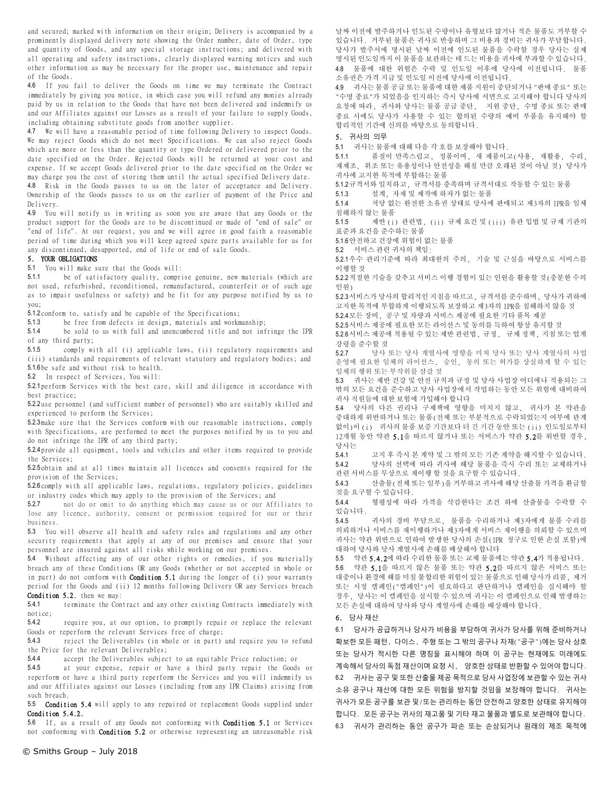and secured; marked with information on their origin; Delivery is accompanied by a prominently displayed delivery note showing the Order number, date of Order, type and quantity of Goods, and any special storage instructions; and delivered with all operating and safety instructions, clearly displayed warning notices and such other information as may be necessary for the proper use, maintenance and repair of the Goods.

4.6 If you fail to deliver the Goods on time we may terminate the Contract immediately by giving you notice, in which case you will refund any monies already paid by us in relation to the Goods that have not been delivered and indemnify us and our Affiliates against our Losses as a result of your failure to supply Goods, including obtaining substitute goods from another supplier.

4.7 We will have a reasonable period of time following Delivery to inspect Goods. We may reject Goods which do not meet Specifications. We can also reject Goods which are more or less than the quantity or type Ordered or delivered prior to the date specified on the Order. Rejected Goods will be returned at your cost and expense. If we accept Goods delivered prior to the date specified on the Order we may charge you the cost of storing them until the actual specified Delivery date. 4.8 Risk in the Goods passes to us on the later of acceptance and Delivery. Ownership of the Goods passes to us on the earlier of payment of the Price and Delivery.

4.9 You will notify us in writing as soon you are aware that any Goods or the product support for the Goods are to be discontinued or made of "end of sale" or "end of life". At our request, you and we will agree in good faith a reasonable period of time during which you will keep agreed spare parts available for us for any discontinued, desupported, end of life or end of sale Goods.

# 5. YOUR OBLIGATIONS

5.1 You will make sure that the Goods will:

5.1.1 be of satisfactory quality, comprise genuine, new materials (which are not used, refurbished, reconditioned, remanufactured, counterfeit or of such age as to impair usefulness or safety) and be fit for any purpose notified by us to you;

5.1.2conform to, satisfy and be capable of the Specifications;

5.1.3 be free from defects in design, materials and workmanship;

5.1.4 be sold to us with full and unencumbered title and not infringe the IPR of any third party;

5.1.5 comply with all (i) applicable laws, (ii) regulatory requirements and (iii) standards and requirements of relevant statutory and regulatory bodies; and 5.1.6be safe and without risk to health.

5.2 In respect of Services, You will:

5.2.1perform Services with the best care, skill and diligence in accordance with best practice;

5.2.2use personnel (and sufficient number of personnel) who are suitably skilled and experienced to perform the Services;

5.2.3make sure that the Services conform with our reasonable instructions, comply with Specifications, are performed to meet the purposes notified by us to you and do not infringe the IPR of any third party;

5.2.4provide all equipment, tools and vehicles and other items required to provide the Services;

5.2.5obtain and at all times maintain all licences and consents required for the provision of the Services;

5.2.6comply with all applicable laws, regulations, regulatory policies, guidelines or industry codes which may apply to the provision of the Services; and

5.2.7 not do or omit to do anything which may cause us or our Affiliates to lose any licence, authority, consent or permission required for our or their business.

5.3 You will observe all health and safety rules and regulations and any other security requirements that apply at any of our premises and ensure that your personnel are insured against all risks while working on our premises.

5.4 Without affecting any of our other rights or remedies, if you materially breach any of these Conditions OR any Goods (whether or not accepted in whole or in part) do not conform with **Condition 5.1** during the longer of (i) your warranty period for the Goods and (ii) 12 months following Delivery OR any Services breach Condition 5.2, then we may:

5.4.1 terminate the Contract and any other existing Contracts immediately with notice;

5.4.2 require you, at our option, to promptly repair or replace the relevant Goods or reperform the relevant Services free of charge;

5.4.3 reject the Deliverables (in whole or in part) and require you to refund the Price for the relevant Deliverables;

5.4.4 accept the Deliverables subject to an equitable Price reduction; or

5.4.5 at your expense, repair or have a third party repair the Goods or reperform or have a third party reperform the Services and you will indemnify us and our Affiliates against our Losses (including from any IPR Claims) arising from such breach.

5.5 Condition 5.4 will apply to any repaired or replacement Goods supplied under Condition 5.4.2.

5.6 If, as a result of any Goods not conforming with Condition 5.1 or Services not conforming with Condition 5.2 or otherwise representing an unreasonable risk

날짜 이전에 발주하거나 인도된 수량이나 유형보다 많거나 적은 물품도 거부할 수 있습니다. 거부된 물품은 귀사로 반송하며 그 비용과 경비는 귀사가 부담합니다. 당사가 발주서에 명시된 날짜 이전에 인도된 물품을 수락할 경우 당사는 실제 명시된 인도일까지 이 물품을 보관하는 데 드는 비용을 귀사에 부과할 수 있습니다. 4.8 물품에 대한 위험은 수락 및 인도일 이후에 당사에 이전됩니다. 물품 소유권은 가격 지급 및 인도일 이전에 당사에 이전됩니다.

4.9 귀사는 물품 공급 또는 물품에 대한 제품 지원이 중단되거나 "판매 종료" 또는 "수명 종료"가 되었음을 인지하는 즉시 당사에 서면으로 고지해야 합니다 당사의 요청에 따라, 귀사와 당사는 물품 공급 중단, 지원 중단, 수명 종료 또는 판매 종료 시에도 당사가 사용할 수 있는 합의된 수량의 예비 부품을 유지해야 할 합리적인 기간에 신의를 바탕으로 동의합니다.

## 5. 귀사의 의무

5.1 귀사는 물품에 대해 다음 각 호를 보장해야 합니다.

5.1.1 품질이 만족스럽고, 정품이며, 새 제품이고(사용, 재활용, 수리, 재제조, 위조 또는 유용성이나 안전성을 해칠 만큼 오래된 것이 아닐 것) 당사가 귀사에 고지한 목적에 부합하는 물품

5.1.2규격서와 일치하고, 규격서를 충족하며 규격서대로 작동할 수 있는 물품

5.1.3 설계, 자재 및 제작에 하자가 없는 물품

5.1.4 저당 없는 완전한 소유권 상태로 당사에 판매되고 제3자의 IPR을 일체 침해하지 않는 물품

5.1.5 제반 (i) 관련법, (ii) 규제 요건 및 (iii) 유관 입법 및 규제 기관의 표준과 요건을 준수하는 물품

5.1.6안전하고 건강에 위험이 없는 물품

5.2 서비스 관련 귀사의 책임:

5.2.1우수 관리기준에 따라 최대한의 주의, 기술 및 근실을 바탕으로 서비스를 이행할 것

5.2.2적절한 기술을 갖추고 서비스 이행 경험이 있는 인원을 활용할 것(충분한 수의 인원)

5.2.3서비스가 당사의 합리적인 지침을 따르고, 규격서를 준수하며, 당사가 귀하에 고지한 목적에 부합하게 이행되도록 보장하고 제3자의 IPR을 침해하지 않을 것

5.2.4모든 장비, 공구 및 차량과 서비스 제공에 필요한 기타 품목 제공

5.2.5서비스 제공에 필요한 모든 라이선스 및 동의를 득하여 항상 유지할 것 5.2.6서비스 제공에 적용될 수 있는 제반 관련법, 규정, 규제 정책, 지침 또는 업계 강령을 준수할 것

5.2.7 당사 또는 당사 계열사에 영향을 미쳐 당사 또는 당사 계열사의 사업 운영에 필요한 일체의 라이선스, 승인, 동의 또는 허가를 상실하게 할 수 있는 일체의 행위 또는 부작위를 삼갈 것

5.3 귀사는 제반 건강 및 안전 규칙과 규정 및 당사 사업장 어디에나 적용되는 그 밖의 모든 요건을 준수하고 당사 사업장에서 작업하는 동안 모든 위험에 대비하여 귀사 직원들에 대한 보험에 가입해야 합니다

5.4 당사의 다른 권리나 구제책에 영향을 미치지 않고, 귀사가 본 약관을 중대하게 위반하거나 또는 물품(전체 또는 부분적으로 수락되었는지 여부에 관계 없이)이 (i) 귀사의 물품 보증 기간보다 더 긴 기간 동안 또는 (ii) 인도일로부터 12개월 동안 약관 5.1을 따르지 않거나 또는 서비스가 약관 5.2를 위반할 경우, 당사는

5.4.1 고지 후 즉시 본 계약 및 그 밖의 모든 기존 계약을 해지할 수 있습니다.

5.4.2 당사의 선택에 따라 귀사에 해당 물품을 즉시 수리 또는 교체하거나 관련 서비스를 무상으로 재이행 할 것을 요구할 수 있습니다.

5.4.3 산출물(전체 또는 일부)을 거부하고 귀사에 해당 산출물 가격을 환급할 것을 요구할 수 있습니다.

5.4.4 형평성에 따라 가격을 삭감한다는 조건 하에 산출물을 수락할 수 있습니다.

5.4.5 귀사의 경비 부담으로, 물품을 수리하거나 제3자에게 물품 수리를 의뢰하거나 서비스를 재이행하거나 제3자에게 서비스 재이행을 의뢰할 수 있으며 귀사는 약관 위반으로 인하여 발생한 당사의 손실(IPR 청구로 인한 손실 포함)에 대하여 당사와 당사 계열사에 손해를 배상해야 합니다

5.5 약관 5.4.2에 따라 수리한 물품 또는 교체 물품에는 약관 5.4가 적용됩니다. 5.6 약관 5.1을 따르지 않은 물품 또는 약관 5.2를 따르지 않은 서비스 또는 대중이나 환경에 해를 미칠 불합리한 위험이 있는 물품으로 인해 당사가 리콜, 제거 또는 시정 캠페인("캠페인")이 필요하다고 판단하거나 캠페인을 실시해야 할 경우, 당사는 이 캠페인을 실시할 수 있으며 귀사는 이 캠페인으로 인해 발생하는 모든 손실에 대하여 당사와 당사 계열사에 손해를 배상해야 합니다.

6. 당사 재산

6.1 당사가 공급하거나 당사가 비용을 부담하여 귀사가 당사를 위해 준비하거나 확보한 모든 패턴, 다이스, 주형 또는 그 밖의 공구나 자재("공구")에는 당사 상호 또는 당사가 적시한 다른 명칭을 표시해야 하며 이 공구는 현재에도 미래에도 계속해서 당사의 독점 재산이며 요청 시, 양호한 상태로 반환할 수 있어야 합니다. 6.2 귀사는 공구 및 또한 산출물 제공 목적으로 당사 사업장에 보관할 수 있는 귀사 소유 공구나 재산에 대한 모든 위험을 방지할 것임을 보장해야 합니다. 귀사는 귀사가 모든 공구를 보관 및/또는 관리하는 동안 안전하고 양호한 상태로 유지해야 합니다. 모든 공구는 귀사의 재고품 및 기타 재고 물품과 별도로 보관해야 합니다.

6.3 귀사가 관리하는 동안 공구가 파손 또는 손상되거나 원래의 제조 목적에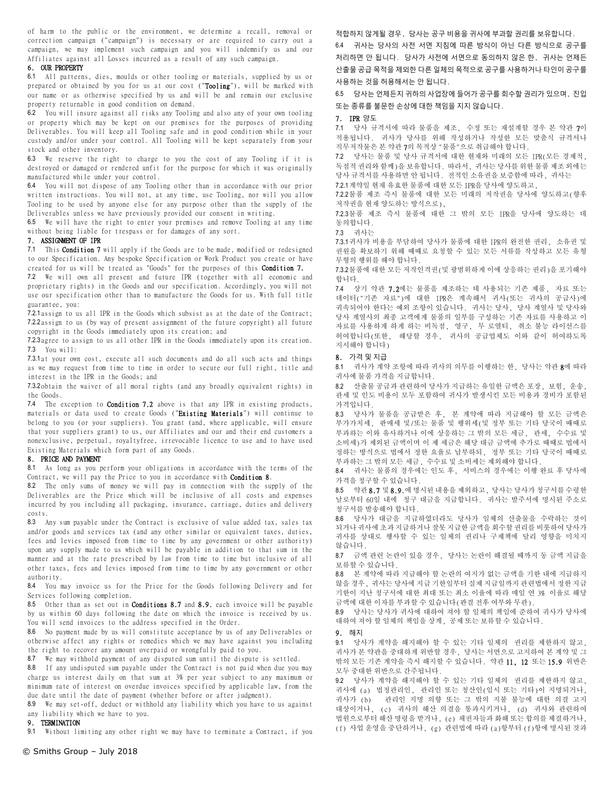of harm to the public or the environment, we determine a recall, removal or correction campaign ("campaign") is necessary or are required to carry out a campaign, we may implement such campaign and you will indemnify us and our Affiliates against all Losses incurred as a result of any such campaign.

#### 6. OUR PROPERTY

6.1 All patterns, dies, moulds or other tooling or materials, supplied by us or prepared or obtained by you for us at our cost ("Tooling"), will be marked with our name or as otherwise specified by us and will be and remain our exclusive property returnable in good condition on demand.

6.2 You will insure against all risks any Tooling and also any of your own tooling or property which may be kept on our premises for the purposes of providing Deliverables. You will keep all Tooling safe and in good condition while in your custody and/or under your control. All Tooling will be kept separately from your stock and other inventory.

6.3 We reserve the right to charge to you the cost of any Tooling if it is destroyed or damaged or rendered unfit for the purpose for which it was originally manufactured while under your control.

6.4 You will not dispose of any Tooling other than in accordance with our prior written instructions. You will not, at any time, use Tooling, nor will you allow Tooling to be used by anyone else for any purpose other than the supply of the Deliverables unless we have previously provided our consent in writing.

6.5 We will have the right to enter your premises and remove Tooling at any time without being liable for trespass or for damages of any sort.

# 7. ASSIGNMENT OF IPR

7.1 This Condition 7 will apply if the Goods are to be made, modified or redesigned to our Specification. Any bespoke Specification or Work Product you create or have created for us will be treated as "Goods" for the purposes of this Condition 7.

7.2 We will own all present and future IPR (together with all economic and proprietary rights) in the Goods and our specification. Accordingly, you will not use our specification other than to manufacture the Goods for us. With full title guarantee, you:

7.2.1assign to us all IPR in the Goods which subsist as at the date of the Contract; 7.2.2assign to us (by way of present assignment of the future copyright) all future copyright in the Goods immediately upon its creation; and

7.2.3agree to assign to us all other IPR in the Goods immediately upon its creation. 7.3 You will:

7.3.1at your own cost, execute all such documents and do all such acts and things as we may request from time to time in order to secure our full right, title and interest in the IPR in the Goods; and

7.3.2obtain the waiver of all moral rights (and any broadly equivalent rights) in the Goods.

7.4 The exception to **Condition 7.2** above is that any IPR in existing products, materials or data used to create Goods ("Existing Materials") will continue to belong to you (or your suppliers). You grant (and, where applicable, will ensure that your suppliers grant) to us, our Affiliates and our and their end customers a nonexclusive, perpetual, royaltyfree, irrevocable licence to use and to have used Existing Materials which form part of any Goods.

#### 8. PRICE AND PAYMENT

8.1 As long as you perform your obligations in accordance with the terms of the Contract, we will pay the Price to you in accordance with Condition 8.

8.2 The only sums of money we will pay in connection with the supply of the Deliverables are the Price which will be inclusive of all costs and expenses incurred by you including all packaging, insurance, carriage, duties and delivery costs.

8.3 Any sum payable under the Contract is exclusive of value added tax, sales tax and/or goods and services tax (and any other similar or equivalent taxes, duties, fees and levies imposed from time to time by any government or other authority) upon any supply made to us which will be payable in addition to that sum in the manner and at the rate prescribed by law from time to time but inclusive of all other taxes, fees and levies imposed from time to time by any government or other authority.

8.4 You may invoice us for the Price for the Goods following Delivery and for Services following completion.

8.5 Other than as set out in **Conditions 8.7** and 8.9, each invoice will be payable by us within 60 days following the date on which the invoice is received by us. You will send invoices to the address specified in the Order.

8.6 No payment made by us will constitute acceptance by us of any Deliverables or otherwise affect any rights or remedies which we may have against you including the right to recover any amount overpaid or wrongfully paid to you.

8.7 We may withhold payment of any disputed sum until the dispute is settled.

8.8 If any undisputed sum payable under the Contract is not paid when due you may charge us interest daily on that sum at 3% per year subject to any maximum or minimum rate of interest on overdue invoices specified by applicable law, from the due date until the date of payment (whether before or after judgment).

8.9 We may set-off, deduct or withhold any liability which you have to us against any liability which we have to you.

#### 9. TERMINATION

9.1 Without limiting any other right we may have to terminate a Contract, if you

적합하지 않게될 경우, 당사는 공구 비용을 귀사에 부과할 권리를 보유합니다.

6.4 귀사는 당사의 사전 서면 지침에 따른 방식이 아닌 다른 방식으로 공구를 처리하면 안 됩니다. 당사가 사전에 서면으로 동의하지 않은 한, 귀사는 언제든 산출물 공급 목적을 제외한 다른 일체의 목적으로 공구를 사용하거나 타인이 공구를 사용하는 것을 허용해서는 안 됩니다.

6.5 당사는 언제든지 귀하의 사업장에 들어가 공구를 회수할 권리가 있으며, 진입 또는 종류를 불문한 손상에 대한 책임을 지지 않습니다.

#### 7. IPR 양도

7.1 당사 규격서에 따라 물품을 제조, 수정 또는 재설계할 경우 본 약관 7이 적용됩니다. 귀사가 당사를 위해 작성하거나 작성한 모든 맞춤식 규격서나 직무저작물은 본 약관 7의 목적상 "물품"으로 취급해야 합니다.

7.2 당사는 물품 및 당사 규격서에 대한 현재와 미래의 모든 IPR(모든 경제적, 독점적 권리와 함께)을 보유합니다. 따라서, 귀사는 당사를 위한 물품 제조 외에는 당사 규격서를 사용하면 안 됩니다. 전적인 소유권을 보증함에 따라, 귀사는 7.2.1계약일 현재 유효한 물품에 대한 모든 IPR을 당사에 양도하고,

7.2.2물품 제조 즉시 물품에 대한 모든 미래의 저작권을 당사에 양도하고(향후 저작권을 현재 양도하는 방식으로),

7.2.3물품 제조 즉시 물품에 대한 그 밖의 모든 IPR을 당사에 양도하는 데 동의합니다.

7.3 귀사는

7.3.1귀사가 비용을 부담하여 당사가 물품에 대한 IPR의 완전한 권리, 소유권 및 권원을 확보하기 위해 때때로 요청할 수 있는 모든 서류를 작성하고 모든 유형 무형의 행위를 해야 합니다.

7.3.2물품에 대한 모든 저작인격권(및 광범위하게 이에 상응하는 권리)을 포기해야 합니다.

7.4 상기 약관 7.2에는 물품을 제조하는 데 사용되는 기존 제품, 자료 또는 데이터("기존 자료")에 대한 IPR은 계속해서 귀사(또는 귀사의 공급사)에 귀속되어야 한다는 예외 조항이 있습니다. 귀사는 당사, 당사 계열사 및 당사와 당사 계열사의 최종 고객에게 물품의 일부를 구성하는 기존 자료를 사용하고 이 자료를 사용하게 하게 하는 비독점, 영구, 무 로열티, 취소 불능 라이선스를 허여합니다(또한, 해당할 경우, 귀사의 공급업체도 이와 같이 허여하도록 지시해야 합니다)

#### 8. 가격 및 지급

8.1 귀사가 계약 조항에 따라 귀사의 의무를 이행하는 한, 당사는 약관 8에 따라 귀사에 물품 가격을 지급합니다.

8.2 산출물 공급과 관련하여 당사가 지급하는 유일한 금액은 포장, 보험, 운송, 관세 및 인도 비용이 모두 포함하여 귀사가 발생시킨 모든 비용과 경비가 포함된 가격입니다.

8.3 당사가 물품을 공급받은 후, 본 계약에 따라 지급해야 할 모든 금액은 부가가치세, 판매세 및/또는 물품 및 행위세(및 정부 또는 기타 당국이 때때로 부과하는 이와 유사하거나 이에 상응하는 그 밖의 모든 세금, 관세, 수수료 및 소비세)가 제외된 금액이며 이 제 세금은 해당 대금 금액에 추가로 때때로 법에서 정하는 방식으로 법에서 정한 요율로 납부하되, 정부 또는 기타 당국이 때때로 부과하는 그 밖의 모든 세금, 수수료 및 소비세는 제외해야 합니다.

8.4 귀사는 물품의 경우에는 인도 후, 서비스의 경우에는 이행 완료 후 당사에 가격을 청구할 수 있습니다.

8.5 약관 8.7 및 8.9,에 명시된 내용을 제외하고, 당사는 당사가 청구서를 수령한 날로부터 60일 내에 청구 대금을 지급합니다. 귀사는 발주서에 명시된 주소로 청구서를 발송해야 합니다.

8.6 당사가 대금을 지급하였더라도 당사가 일체의 산출물을 수락하는 것이 되거나 귀사에 초과 지급하거나 잘못 지급한 금액을 회수할 권리를 비롯하여 당사가 귀사를 상대로 행사할 수 있는 일체의 권리나 구제책에 달리 영향을 미치지 않습니다.

8.7 금액 관련 논란이 있을 경우, 당사는 논란이 해결될 때까지 동 금액 지급을 보류할 수 있습니다.

8.8 본 계약에 따라 지급해야 할 논란의 여지가 없는 금액을 기한 내에 지급하지 않을 경우, 귀사는 당사에 지급 기한일부터 실제 지급일까지 관련법에서 정한 지급 기한이 지난 청구서에 대한 최대 또는 최소 이율에 따라 매일 연 3% 이율로 해당 금액에 대한 이자를 부과할 수 있습니다(판결 전후 여부와 무관).

8.9 당사는 당사가 귀사에 대하여 져야 할 일체의 책임에 준하여 귀사가 당사에 대하여 져야 할 일체의 책임을 상계, 공제 또는 보류할 수 있습니다.

#### 9. 해지

9.1 당사가 계약을 해지해야 할 수 있는 기타 일체의 권리를 제한하지 않고, 귀사가 본 약관을 중대하게 위반할 경우, 당사는 서면으로 고지하여 본 계약 및 그 밖의 모든 기존 계약을 즉시 해지할 수 있습니다. 약관 11, 12 또는 15.9 위반은 모두 중대한 위반으로 간주됩니다.

9.2 당사가 계약을 해지해야 할 수 있는 기타 일체의 권리를 제한하지 않고, 귀사에 (a) 법정관리인, 관리인 또는 청산인(임시 또는 기타)이 지명되거나, 귀사가 (b) 관리인 지명 의향 또는 그 밖의 지불 불능에 대한 의결 고지 대상이거나, (c) 귀사의 해산 의결을 통과시키거나, (d) 귀사와 관련하여 법원으로부터 해산 명령을 받거나, (e) 채권자들과 화해 또는 합의를 체결하거나, (f) 사업 운영을 중단하거나, (g) 관련법에 따라 (a)항부터 (f)항에 명시된 것과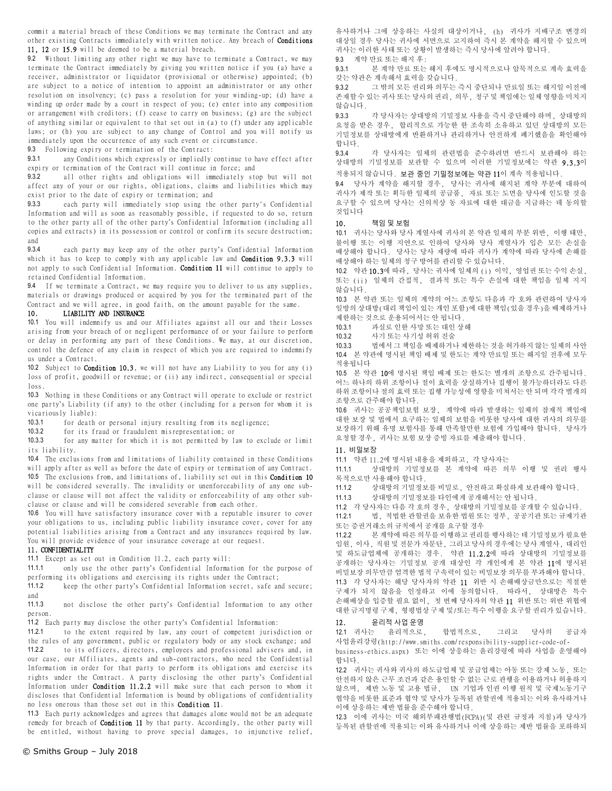commit a material breach of these Conditions we may terminate the Contract and any other existing Contracts immediately with written notice. Any breach of Conditions 11, 12 or 15.9 will be deemed to be a material breach.

9.2 Without limiting any other right we may have to terminate a Contract, we may terminate the Contract immediately by giving you written notice if you (a) have a receiver, administrator or liquidator (provisional or otherwise) appointed; (b) are subject to a notice of intention to appoint an administrator or any other resolution on insolvency; (c) pass a resolution for your winding-up; (d) have a winding up order made by a court in respect of you; (e) enter into any composition or arrangement with creditors; (f) cease to carry on business; (g) are the subject of anything similar or equivalent to that set out in (a) to (f) under any applicable laws; or (h) you are subject to any change of Control and you will notify us immediately upon the occurrence of any such event or circumstance.

9.3 Following expiry or termination of the Contract:

9.3.1 any Conditions which expressly or impliedly continue to have effect after expiry or termination of the Contract will continue in force; and

9.3.2 all other rights and obligations will immediately stop but will not affect any of your or our rights, obligations, claims and liabilities which may exist prior to the date of expiry or termination; and

9.3.3 each party will immediately stop using the other party's Confidential Information and will as soon as reasonably possible, if requested to do so, return to the other party all of the other party's Confidential Information (including all copies and extracts) in its possession or control or confirm its secure destruction; and

9.3.4 each party may keep any of the other party's Confidential Information which it has to keep to comply with any applicable law and **Condition 9.3.3** will not apply to such Confidential Information. Condition 11 will continue to apply to retained Confidential Information.

9.4 If we terminate a Contract, we may require you to deliver to us any supplies, materials or drawings produced or acquired by you for the terminated part of the Contract and we will agree, in good faith, on the amount payable for the same.

# 10. LIABILITY AND INSURANCE

10.1 You will indemnify us and our Affiliates against all our and their Losses arising from your breach of or negligent performance of or your failure to perform or delay in performing any part of these Conditions. We may, at our discretion, control the defence of any claim in respect of which you are required to indemnify us under a Contract.

10.2 Subject to Condition 10.3, we will not have any Liability to you for any (i) loss of profit, goodwill or revenue; or (ii) any indirect, consequential or special loss.

10.3 Nothing in these Conditions or any Contract will operate to exclude or restrict one party's Liability (if any) to the other (including for a person for whom it is vicariously liable):

10.3.1 for death or personal injury resulting from its negligence;

10.3.2 for its fraud or fraudulent misrepresentation; or

10.3.3 for any matter for which it is not permitted by law to exclude or limit its liability.

10.4 The exclusions from and limitations of liability contained in these Conditions will apply after as well as before the date of expiry or termination of any Contract. 10.5 The exclusions from, and limitations of, liability set out in this Condition 10

will be considered severally. The invalidity or unenforceability of any one subclause or clause will not affect the validity or enforceability of any other subclause or clause and will be considered severable from each other.

10.6 You will have satisfactory insurance cover with a reputable insurer to cover your obligations to us, including public liability insurance cover, cover for any potential liabilities arising from a Contract and any insurances required by law. You will provide evidence of your insurance coverage at our request.

# 11. CONFIDENTIALITY

11.1 Except as set out in Condition 11.2, each party will:

11.1.1 only use the other party's Confidential Information for the purpose of performing its obligations and exercising its rights under the Contract;

11.1.2 keep the other party's Confidential Information secret, safe and secure; and

11.1.3 not disclose the other party's Confidential Information to any other person.

11.2 Each party may disclose the other party's Confidential Information:

11.2.1 to the extent required by law, any court of competent jurisdiction or the rules of any government, public or regulatory body or any stock exchange; and 11.2.2 to its officers, directors, employees and professional advisers and, in our case, our Affiliates, agents and sub-contractors, who need the Confidential Information in order for that party to perform its obligations and exercise its rights under the Contract. A party disclosing the other party's Confidential Information under Condition 11.2.2 will make sure that each person to whom it discloses that Confidential Information is bound by obligations of confidentiality no less onerous than those set out in this Condition 11.

11.3 Each party acknowledges and agrees that damages alone would not be an adequate remedy for breach of **Condition 11** by that party. Accordingly, the other party will be entitled, without having to prove special damages, to injunctive relief,

유사하거나 그에 상응하는 사실의 대상이거나, (h) 귀사가 지배구조 변경의 대상일 경우 당사는 귀사에 서면으로 고지하여 즉시 본 계약을 해지할 수 있으며 귀사는 이러한 사태 또는 상황이 발생하는 즉시 당사에 알려야 합니다.

9.3 계약 만료 또는 해지 후:

9.3.1 본 계약 만료 또는 해지 후에도 명시적으로나 암묵적으로 계속 효력을 갖는 약관은 계속해서 효력을 갖습니다.

9.3.2 그 밖의 모든 권리와 의무는 즉시 중단되나 만료일 또는 해지일 이전에 존재할 수 있는 귀사 또는 당사의 권리, 의무, 청구 및 책임에는 일체 영향을 미치지 않습니다.

9.3.3 각 당사자는 상대방의 기밀정보 사용을 즉시 중단해야 하며, 상대방의 요청을 받은 경우, 합리적으로 가능한 한 조속히 소유하고 있던 상대방의 모든 기밀정보를 상대방에게 반환하거나 관리하거나 안전하게 폐기했음을 확인해야 합니다.

9.3.4 각 당사자는 일체의 관련법을 준수하려면 반드시 보관해야 하는 상대방의 기밀정보를 보관할 수 있으며 이러한 기밀정보에는 약관 9.3.3이 적용되지 않습니다. 보관 중인 기밀정보에는 약관 11이 계속 적용됩니다.

9.4 당사가 계약을 해지할 경우, 당사는 귀사에 해지된 계약 부분에 대하여 귀사가 제작 또는 획득한 일체의 공급품, 자료 또는 도면을 당사에 인도할 것을 요구할 수 있으며 당사는 신의칙상 동 자료에 대한 대금을 지급하는 데 동의할 것입니다

## 10. 책임 및 보험

10.1 귀사는 당사와 당사 계열사에 귀사의 본 약관 일체의 부분 위반, 이행 태만, 불이행 또는 이행 지연으로 인하여 당사와 당사 계열사가 입은 모든 손실을 배상해야 합니다. 당사는 당사 재량에 따라 귀사가 계약에 따라 당사에 손해를 배상해야 하는 일체의 청구 방어를 관리할 수 있습니다.

10.2 약관 10.3에 따라, 당사는 귀사에 일체의 (i) 이익, 영업권 또는 수익 손실, 또는 (ii) 일체의 간접적, 결과적 또는 특수 손실에 대한 책임을 일체 지지 않습니다.

10.3 본 약관 또는 일체의 계약의 어느 조항도 다음과 각 호와 관련하여 당사자 일방의 상대방(대리 책임이 있는 개인 포함)에 대한 책임(있을 경우)을 배제하거나 제한하는 것으로 운용되어서는 안 됩니다.

10.3.1 과실로 인한 사망 또는 대인 상해

10.3.2 사기 또는 사기성 허위 진술

10.3.3 법에서 그 책임을 배제하거나 제한하는 것을 허가하지 않는 일체의 사안 10.4 본 약관에 명시된 책임 배제 및 한도는 계약 만료일 또는 해지일 전후에 모두 적용됩니다

10.5 본 약관 10에 명시된 책임 배제 또는 한도는 별개의 조항으로 간주됩니다. 어느 하나의 하위 조항이나 절이 효력을 상실하거나 집행이 불가능하더라도 다른 하위 조항이나 절의 효력 또는 집행 가능성에 영향을 미쳐서는 안 되며 각각 별개의 조항으로 간주해야 합니다.

10.6 귀사는 공공책임보험 보장, 계약에 따라 발생하는 일체의 잠재적 책임에 대한 보장 및 법에서 요구하는 일체의 보험을 비롯한 당사에 대한 귀사의 의무를 보장하기 위해 유명 보험사를 통해 만족할만한 보험에 가입해야 합니다. 당사가 요청할 경우, 귀사는 보험 보장 증빙 자료를 제출해야 합니다.

# 11. 비밀보장

11.1 약관 11.2에 명시된 내용을 제외하고, 각 당사자는

11.1.1 상대방의 기밀정보를 본 계약에 따른 의무 이행 및 권리 행사 목적으로만 사용해야 합니다.

11.1.2 상대방의 기밀정보를 비밀로, 안전하고 확실하게 보관해야 합니다.

11.1.3 상대방의 기밀정보를 타인에게 공개해서는 안 됩니다.

11.2 각 당사자는 다음 각 호의 경우, 상대방의 기밀정보를 공개할 수 있습니다. 11.2.1 법, 적법한 관할권을 보유한 법원 또는 정부, 공공기관 또는 규제기관

또는 증권거래소의 규칙에서 공개를 요구할 경우

11.2.2 본 계약에 따른 의무를 이행하고 권리를 행사하는 데 기밀정보가 필요한 임원, 이사, 직원 및 전문가 자문단, 그리고 당사의 경우에는 당사 계열사, 대리인 및 하도급업체에 공개하는 경우. 약관 11.2.2에 따라 상대방의 기밀정보를 공개하는 당사자는 기밀정보 공개 대상인 각 개인에게 본 약관 11에 명시된 비밀보장 의무만큼 엄격한 법적 구속력이 있는 비밀보장 의무를 부과해야 합니다. 11.3 각 당사자는 해당 당사자의 약관 11 위반 시 손해배상금만으로는 적절한 구제가 되지 않음을 인정하고 이에 동의합니다. 따라서, 상대방은 특수 손해배상을 입증할 필요 없이, 첫 번째 당사자의 약관 11 위반 또는 위반 위협에 대한 금지명령 구제, 형평법상 구제 및/또는 특수 이행을 요구할 권리가 있습니다.

# 12. 윤리적 사업 운영

12.1 귀사는 윤리적으로, 합법적으로, 그리고 당사의 공급자 사업윤리강령(http://www.smiths.com/responsibility-supplier-code-ofbusiness-ethics.aspx) 또는 이에 상응하는 윤리강령에 따라 사업을 운영해야 합니다.

12.2 귀사는 귀사와 귀사의 하도급업체 및 공급업체는 아동 또는 강제 노동, 또는 안전하지 않은 근무 조건과 같은 용인할 수 없는 근로 관행을 이용하거나 허용하지 않으며, 제반 노동 및 고용 법규, UN 기업과 인권 이행 원칙 및 국제노동기구 협약을 비롯한 표준과 협약 및 당사가 등록된 관할권에 적용되는 이와 유사하거나 이에 상응하는 제반 법률을 준수해야 합니다.

12.3 이에 귀사는 미국 해외부패관행법(FCPA)(및 관련 규정과 지침)과 당사가 등록된 관할권에 적용되는 이와 유사하거나 이에 상응하는 제반 법률을 포하하되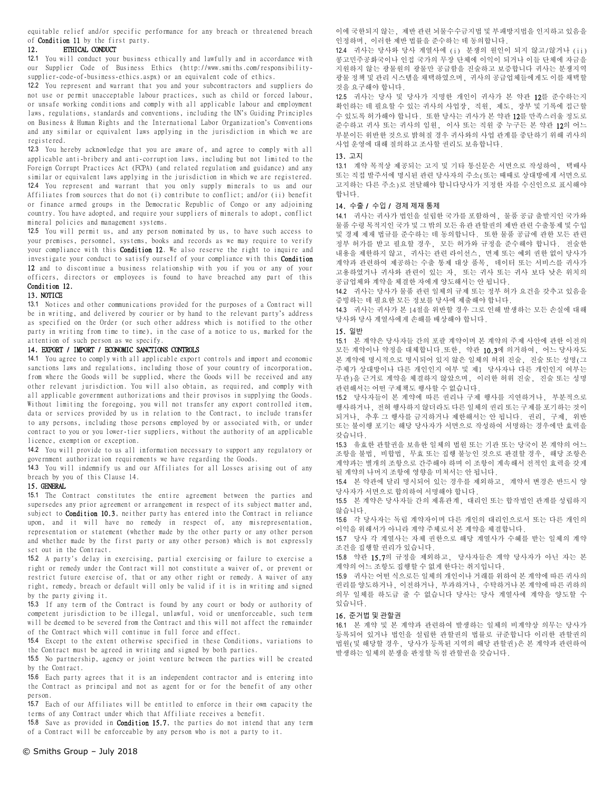equitable relief and/or specific performance for any breach or threatened breach of Condition 11 by the first party.

#### 12. ETHICAL CONDUCT

12.1 You will conduct your business ethically and lawfully and in accordance with our Supplier Code of Business Ethics (http://www.smiths.com/responsibilitysupplier-code-of-business-ethics.aspx) or an equivalent code of ethics.

12.2 You represent and warrant that you and your subcontractors and suppliers do not use or permit unacceptable labour practices, such as child or forced labour, or unsafe working conditions and comply with all applicable labour and employment laws, regulations, standards and conventions, including the UN's Guiding Principles on Business & Human Rights and the International Labor Organization's Conventions and any similar or equivalent laws applying in the jurisdiction in which we are registered.

12.3 You hereby acknowledge that you are aware of, and agree to comply with all applicable anti-bribery and anti-corruption laws, including but not limited to the Foreign Corrupt Practices Act (FCPA) (and related regulation and guidance) and any similar or equivalent laws applying in the jurisdiction in which we are registered. 12.4 You represent and warrant that you only supply minerals to us and our Affiliates from sources that do not (i) contribute to conflict; and/or (ii) benefit or finance armed groups in the Democratic Republic of Congo or any adjoining country. You have adopted, and require your suppliers of minerals to adopt, conflict mineral policies and management systems.

12.5 You will permit us, and any person nominated by us, to have such access to your premises, personnel, systems, books and records as we may require to verify your compliance with this **Condition 12**. We also reserve the right to inquire and investigate your conduct to satisfy ourself of your compliance with this **Condition** 12 and to discontinue a business relationship with you if you or any of your officers, directors or employees is found to have breached any part of this Condition 12.

## 13. NOTICE

13.1 Notices and other communications provided for the purposes of a Contract will be in writing, and delivered by courier or by hand to the relevant party's address as specified on the Order (or such other address which is notified to the other party in writing from time to time), in the case of a notice to us, marked for the attention of such person as we specify.

# 14. EXPORT / IMPORT / ECONOMIC SANCTIONS CONTROLS

14.1 You agree to comply with all applicable export controls and import and economic sanctions laws and regulations, including those of your country of incorporation, from where the Goods will be supplied, where the Goods will be received and any other relevant jurisdiction. You will also obtain, as required, and comply with all applicable government authorizations and their provisos in supplying the Goods. Without limiting the foregoing, you will not transfer any export controlled item, data or services provided by us in relation to the Contract, to include transfer to any persons, including those persons employed by or associated with, or under contract to you or you lower-tier suppliers, without the authority of an applicable licence, exemption or exception.

14.2 You will provide to us all information necessary to support any regulatory or government authorization requirements we have regarding the Goods.

14.3 You will indemnify us and our Affiliates for all Losses arising out of any breach by you of this Clause 14.

# 15. GENERAL

15.1 The Contract constitutes the entire agreement between the parties and supersedes any prior agreement or arrangement in respect of its subject matter and, subject to **Condition 10.3**, neither party has entered into the Contract in reliance upon, and it will have no remedy in respect of, any misrepresentation, representation or statement (whether made by the other party or any other person and whether made by the first party or any other person) which is not expressly set out in the Contract.

15.2 A party's delay in exercising, partial exercising or failure to exercise a right or remedy under the Contract will not constitute a waiver of, or prevent or restrict future exercise of, that or any other right or remedy. A waiver of any right, remedy, breach or default will only be valid if it is in writing and signed by the party giving it.

15.3 If any term of the Contract is found by any court or body or authority of competent jurisdiction to be illegal, unlawful, void or unenforceable, such term will be deemed to be severed from the Contract and this will not affect the remainder of the Contract which will continue in full force and effect.

15.4 Except to the extent otherwise specified in these Conditions, variations to the Contract must be agreed in writing and signed by both parties.

15.5 No partnership, agency or joint venture between the parties will be created by the Contract.

15.6 Each party agrees that it is an independent contractor and is entering into the Contract as principal and not as agent for or for the benefit of any other person.

15.7 Each of our Affiliates will be entitled to enforce in their own capacity the terms of any Contract under which that Affiliate receives a benefit.

15.8 Save as provided in Condition 15.7, the parties do not intend that any term of a Contract will be enforceable by any person who is not a party to it.

이에 국한되지 않는, 제반 관련 뇌물수수금지법 및 부패방지법을 인지하고 있음을 인정하며, 이러한 제반 법률을 준수하는 데 동의합니다.

12.4 귀사는 당사와 당사 계열사에 (i) 분쟁의 원인이 되지 않고/않거나 (ii) 콩고민주공화국이나 인접 국가의 무장 단체에 이익이 되거나 이들 단체에 자금을 지원하지 않는 광물원의 광물만 공급함을 진술하고 보증합니다 귀사는 분쟁지역 광물 정책 및 관리 시스템을 채택하였으며, 귀사의 공급업체들에게도 이를 채택할 것을 요구해야 합니다.

12.5 귀사는 당사 및 당사가 지명한 개인이 귀사가 본 약관 12를 준수하는지 확인하는 데 필요할 수 있는 귀사의 사업장, 직원, 제도, 장부 및 기록에 접근할 수 있도록 허가해야 합니다. 또한 당사는 귀사가 본 약관 12를 만족스러울 정도로 준수하고 귀사 또는 귀사의 임원, 이사 또는 직원 중 누구든 본 약관 12의 어느 부분이든 위반한 것으로 밝혀질 경우 귀사와의 사업 관계를 중단하기 위해 귀사의 사업 운영에 대해 질의하고 조사할 권리도 보유합니다.

## 13. 고지

13.1 계약 목적상 제공되는 고지 및 기타 통신문은 서면으로 작성하여, 택배사 또는 직접 발주서에 명시된 관련 당사자의 주소(또는 때때로 상대방에게 서면으로 고지하는 다른 주소)로 전달해야 합니다당사가 지정한 자를 수신인으로 표시해야 합니다.

## 14. 수출 / 수입 / 경제 제재 통제

14.1 귀사는 귀사가 법인을 설립한 국가를 포함하여, 물품 공급 출발지인 국가와 물품 수령 목적지인 국가 및 그 밖의 모든 유관 관할권의 제반 관련 수출통제 및 수입 및 경제 제재 법규를 준수하는 데 동의합니다. 또한 물품 공급에 관한 모든 관련 정부 허가를 받고 필요할 경우, 모든 허가와 규정을 준수해야 합니다. 전술한 내용을 제한하지 않고, 귀사는 관련 라이선스, 면제 또는 예외 권한 없이 당사가 계약과 관련하여 제공하는 수출 통제 대상 품목, 데이터 또는 서비스를 귀사가 고용하였거나 귀사와 관련이 있는 자, 또는 귀사 또는 귀사 보다 낮은 위치의 공급업체와 계약을 체결한 자에게 양도해서는 안 됩니다.

14.2 귀사는 당사가 물품 관련 일체의 규제 또는 정부 허가 요건을 갖추고 있음을 증빙하는 데 필요한 모든 정보를 당사에 제출해야 합니다.

14.3 귀사는 귀사가 본 14절을 위반할 경우 그로 인해 발생하는 모든 손실에 대해 당사와 당사 계열사에게 손해를 배상해야 합니다.

## 15. 일반

15.1 본 계약은 당사자들 간의 포괄 계약이며 본 계약의 주제 사안에 관한 이전의 모든 계약이나 약정을 대체합니다.또한, 약관 10.3에 의거하여, 어느 당사자도 본 계약에 명시적으로 명시되어 있지 않은 일체의 허위 진술, 진술 또는 성명(그 주체가 상대방이나 다른 개인인지 여부 및 제1 당사자나 다른 개인인지 여부는 무관)을 근거로 계약을 체결하지 않았으며, 이러한 허위 진술, 진술 또는 성명 관련해서는 어떤 구제책도 행사할 수 없습니다.

15.2 당사자들이 본 계약에 따른 권리나 구제 행사를 지연하거나, 부분적으로 행사하거나, 전혀 행사하지 않더라도 다른 일체의 권리 또는 구제를 포기하는 것이 되거나, 추후 그 행사를 금지하거나 제한해서는 안 됩니다. 권리, 구제, 위반 또는 불이행 포기는 해당 당사자가 서면으로 작성하여 서명하는 경우에만 효력을 갖습니다.

15.3 유효한 관할권을 보유한 일체의 법원 또는 기관 또는 당국이 본 계약의 어느 조항을 불법, 비합법, 무효 또는 집행 불능인 것으로 판결할 경우, 해당 조항은 계약과는 별개의 조항으로 간주해야 하며 이 조항이 계속해서 전적인 효력을 갖게 될 계약의 나머지 조항에 영향을 미쳐서는 안 됩니다.

15.4 본 약관에 달리 명시되어 있는 경우를 제외하고, 계약서 변경은 반드시 양 당사자가 서면으로 합의하여 서명해야 합니다.

15.5 본 계약은 당사자들 간의 제휴관계, 대리인 또는 합작법인 관계를 성립하지 않습니다.

15.6 각 당사자는 독립 계약자이며 다른 개인의 대리인으로서 또는 다른 개인의 이익을 위해서가 아니라 계약 주체로서 본 계약을 체결합니다.

15.7 당사 각 계열사는 자체 권한으로 해당 계열사가 수혜를 받는 일체의 계약 조건을 집행할 권리가 있습니다.

15.8 약관 15.7의 규정을 제외하고, 당사자들은 계약 당사자가 아닌 자는 본 계약의 어느 조항도 집행할 수 없게 한다는 취지입니다.

15.9 귀사는 어떤 식으로든 일체의 개인이나 거래를 위하여 본 계약에 따른 귀사의 권리를 양도하거나, 이전하거나, 부과하거나, 수탁하거나 본 계약에 따른 귀하의 의무 일체를 하도급 줄 수 없습니다 당사는 당사 계열사에 계약을 양도할 수 있습니다.

#### 16. 준거법 및 관할권

16.1 본 계약 및 본 계약과 관련하여 발생하는 일체의 비계약상 의무는 당사가 등록되어 있거나 법인을 설립한 관할권의 법률로 규준합니다 이러한 관할권의 법원(및 해당할 경우, 당사가 등록된 지역의 해당 관할권)은 본 계약과 관련하여 발생하는 일체의 분쟁을 판정할 독점 관할권을 갖습니다.